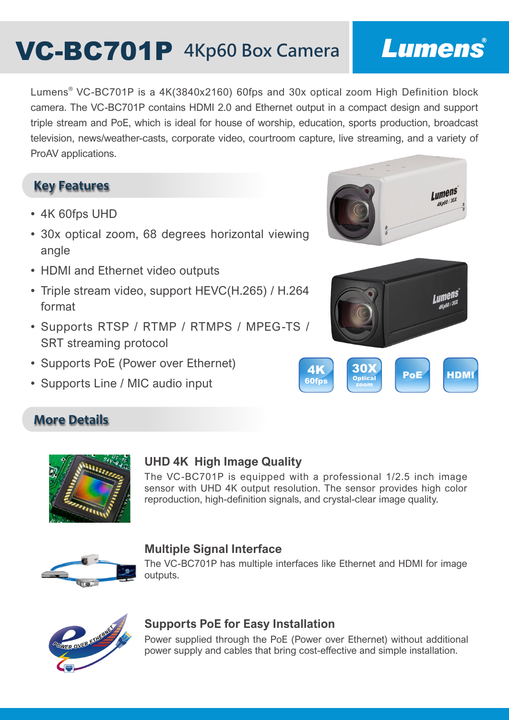# **VC-BC701P** 4Kp60 Box Camera

## Lumens®

Lumens® VC-BC701P is a 4K(3840x2160) 60fps and 30x optical zoom High Definition block camera. The VC-BC701P contains HDMI 2.0 and Ethernet output in a compact design and support triple stream and PoE, which is ideal for house of worship, education, sports production, broadcast television, news/weather-casts, corporate video, courtroom capture, live streaming, and a variety of ProAV applications.

#### **Key Features**

- 4K 60fps UHD
- 30x optical zoom, 68 degrees horizontal viewing angle
- HDMI and Ethernet video outputs
- Triple stream video, support HEVC(H.265) / H.264 format
- Supports RTSP / RTMP / RTMPS / MPEG-TS / SRT streaming protocol
- Supports PoE (Power over Ethernet)
- Supports Line / MIC audio input









**More Details**

#### **UHD 4K High Image Quality**

The VC-BC701P is equipped with a professional 1/2.5 inch image sensor with UHD 4K output resolution. The sensor provides high color reproduction, high-definition signals, and crystal-clear image quality.



#### **Multiple Signal Interface**

The VC-BC701P has multiple interfaces like Ethernet and HDMI for image outputs.



#### **Supports PoE for Easy Installation**

Power supplied through the PoE (Power over Ethernet) without additional power supply and cables that bring cost-effective and simple installation.